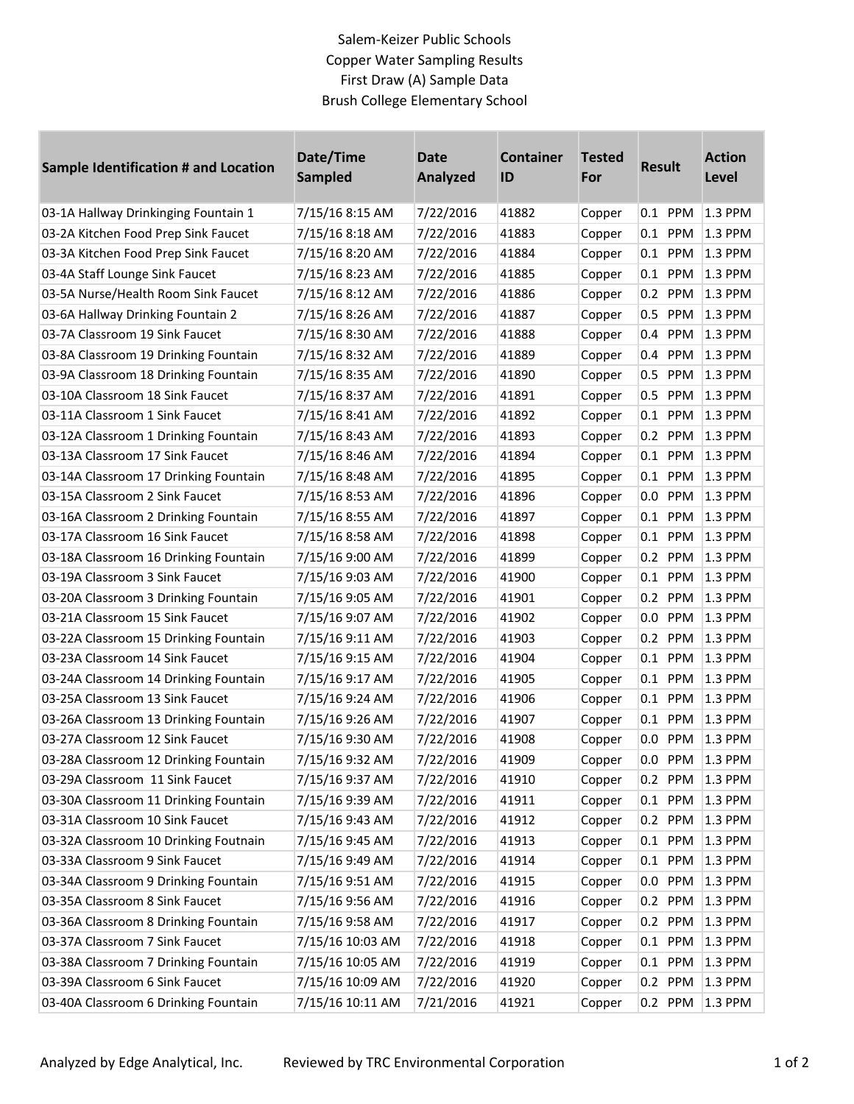## Salem-Keizer Public Schools Copper Water Sampling Results First Draw (A) Sample Data Brush College Elementary School

| Sample Identification # and Location  | Date/Time<br><b>Sampled</b> | <b>Date</b><br><b>Analyzed</b> | <b>Container</b><br>ID | <b>Tested</b><br>For | <b>Result</b> | <b>Action</b><br>Level |
|---------------------------------------|-----------------------------|--------------------------------|------------------------|----------------------|---------------|------------------------|
| 03-1A Hallway Drinkinging Fountain 1  | 7/15/16 8:15 AM             | 7/22/2016                      | 41882                  | Copper               | 0.1 PPM       | 1.3 PPM                |
| 03-2A Kitchen Food Prep Sink Faucet   | 7/15/16 8:18 AM             | 7/22/2016                      | 41883                  | Copper               | $0.1$ PPM     | 1.3 PPM                |
| 03-3A Kitchen Food Prep Sink Faucet   | 7/15/16 8:20 AM             | 7/22/2016                      | 41884                  | Copper               | $0.1$ PPM     | 1.3 PPM                |
| 03-4A Staff Lounge Sink Faucet        | 7/15/16 8:23 AM             | 7/22/2016                      | 41885                  | Copper               | 0.1<br>PPM    | 1.3 PPM                |
| 03-5A Nurse/Health Room Sink Faucet   | 7/15/16 8:12 AM             | 7/22/2016                      | 41886                  | Copper               | 0.2 PPM       | 1.3 PPM                |
| 03-6A Hallway Drinking Fountain 2     | 7/15/16 8:26 AM             | 7/22/2016                      | 41887                  | Copper               | 0.5 PPM       | 1.3 PPM                |
| 03-7A Classroom 19 Sink Faucet        | 7/15/16 8:30 AM             | 7/22/2016                      | 41888                  | Copper               | 0.4 PPM       | 1.3 PPM                |
| 03-8A Classroom 19 Drinking Fountain  | 7/15/16 8:32 AM             | 7/22/2016                      | 41889                  | Copper               | 0.4 PPM       | 1.3 PPM                |
| 03-9A Classroom 18 Drinking Fountain  | 7/15/16 8:35 AM             | 7/22/2016                      | 41890                  | Copper               | 0.5 PPM       | 1.3 PPM                |
| 03-10A Classroom 18 Sink Faucet       | 7/15/16 8:37 AM             | 7/22/2016                      | 41891                  | Copper               | 0.5 PPM       | 1.3 PPM                |
| 03-11A Classroom 1 Sink Faucet        | 7/15/16 8:41 AM             | 7/22/2016                      | 41892                  | Copper               | 0.1<br>PPM    | 1.3 PPM                |
| 03-12A Classroom 1 Drinking Fountain  | 7/15/16 8:43 AM             | 7/22/2016                      | 41893                  | Copper               | 0.2 PPM       | 1.3 PPM                |
| 03-13A Classroom 17 Sink Faucet       | 7/15/16 8:46 AM             | 7/22/2016                      | 41894                  | Copper               | 0.1 PPM       | 1.3 PPM                |
| 03-14A Classroom 17 Drinking Fountain | 7/15/16 8:48 AM             | 7/22/2016                      | 41895                  | Copper               | 0.1 PPM       | 1.3 PPM                |
| 03-15A Classroom 2 Sink Faucet        | 7/15/16 8:53 AM             | 7/22/2016                      | 41896                  | Copper               | 0.0 PPM       | 1.3 PPM                |
| 03-16A Classroom 2 Drinking Fountain  | 7/15/16 8:55 AM             | 7/22/2016                      | 41897                  | Copper               | PPM<br>0.1    | 1.3 PPM                |
| 03-17A Classroom 16 Sink Faucet       | 7/15/16 8:58 AM             | 7/22/2016                      | 41898                  | Copper               | 0.1 PPM       | 1.3 PPM                |
| 03-18A Classroom 16 Drinking Fountain | 7/15/16 9:00 AM             | 7/22/2016                      | 41899                  | Copper               | 0.2 PPM       | 1.3 PPM                |
| 03-19A Classroom 3 Sink Faucet        | 7/15/16 9:03 AM             | 7/22/2016                      | 41900                  | Copper               | 0.1 PPM       | 1.3 PPM                |
| 03-20A Classroom 3 Drinking Fountain  | 7/15/16 9:05 AM             | 7/22/2016                      | 41901                  | Copper               | 0.2 PPM       | 1.3 PPM                |
| 03-21A Classroom 15 Sink Faucet       | 7/15/16 9:07 AM             | 7/22/2016                      | 41902                  | Copper               | 0.0 PPM       | 1.3 PPM                |
| 03-22A Classroom 15 Drinking Fountain | 7/15/16 9:11 AM             | 7/22/2016                      | 41903                  | Copper               | 0.2 PPM       | 1.3 PPM                |
| 03-23A Classroom 14 Sink Faucet       | 7/15/16 9:15 AM             | 7/22/2016                      | 41904                  | Copper               | PPM<br>0.1    | 1.3 PPM                |
| 03-24A Classroom 14 Drinking Fountain | 7/15/16 9:17 AM             | 7/22/2016                      | 41905                  | Copper               | $0.1$ PPM     | 1.3 PPM                |
| 03-25A Classroom 13 Sink Faucet       | 7/15/16 9:24 AM             | 7/22/2016                      | 41906                  | Copper               | $0.1$ PPM     | 1.3 PPM                |
| 03-26A Classroom 13 Drinking Fountain | 7/15/16 9:26 AM             | 7/22/2016                      | 41907                  | Copper               | 0.1 PPM       | 1.3 PPM                |
| 03-27A Classroom 12 Sink Faucet       | 7/15/16 9:30 AM             | 7/22/2016                      | 41908                  | Copper               | 0.0 PPM       | 1.3 PPM                |
| 03-28A Classroom 12 Drinking Fountain | 7/15/16 9:32 AM             | 7/22/2016                      | 41909                  | Copper               | 0.0 PPM       | $1.3$ PPM              |
| 03-29A Classroom 11 Sink Faucet       | 7/15/16 9:37 AM             | 7/22/2016                      | 41910                  | Copper               | 0.2 PPM       | 1.3 PPM                |
| 03-30A Classroom 11 Drinking Fountain | 7/15/16 9:39 AM             | 7/22/2016                      | 41911                  | Copper               | 0.1 PPM       | 1.3 PPM                |
| 03-31A Classroom 10 Sink Faucet       | 7/15/16 9:43 AM             | 7/22/2016                      | 41912                  | Copper               | 0.2 PPM       | 1.3 PPM                |
| 03-32A Classroom 10 Drinking Foutnain | 7/15/16 9:45 AM             | 7/22/2016                      | 41913                  | Copper               | $0.1$ PPM     | 1.3 PPM                |
| 03-33A Classroom 9 Sink Faucet        | 7/15/16 9:49 AM             | 7/22/2016                      | 41914                  | Copper               | 0.1 PPM       | 1.3 PPM                |
| 03-34A Classroom 9 Drinking Fountain  | 7/15/16 9:51 AM             | 7/22/2016                      | 41915                  | Copper               | 0.0 PPM       | 1.3 PPM                |
| 03-35A Classroom 8 Sink Faucet        | 7/15/16 9:56 AM             | 7/22/2016                      | 41916                  | Copper               | PPM<br>0.2    | 1.3 PPM                |
| 03-36A Classroom 8 Drinking Fountain  | 7/15/16 9:58 AM             | 7/22/2016                      | 41917                  | Copper               | 0.2 PPM       | 1.3 PPM                |
| 03-37A Classroom 7 Sink Faucet        | 7/15/16 10:03 AM            | 7/22/2016                      | 41918                  | Copper               | PPM<br>0.1    | 1.3 PPM                |
| 03-38A Classroom 7 Drinking Fountain  | 7/15/16 10:05 AM            | 7/22/2016                      | 41919                  | Copper               | 0.1 PPM       | 1.3 PPM                |
| 03-39A Classroom 6 Sink Faucet        | 7/15/16 10:09 AM            | 7/22/2016                      | 41920                  | Copper               | 0.2 PPM       | 1.3 PPM                |
| 03-40A Classroom 6 Drinking Fountain  | 7/15/16 10:11 AM            | 7/21/2016                      | 41921                  | Copper               | 0.2 PPM       | $ 1.3$ PPM             |